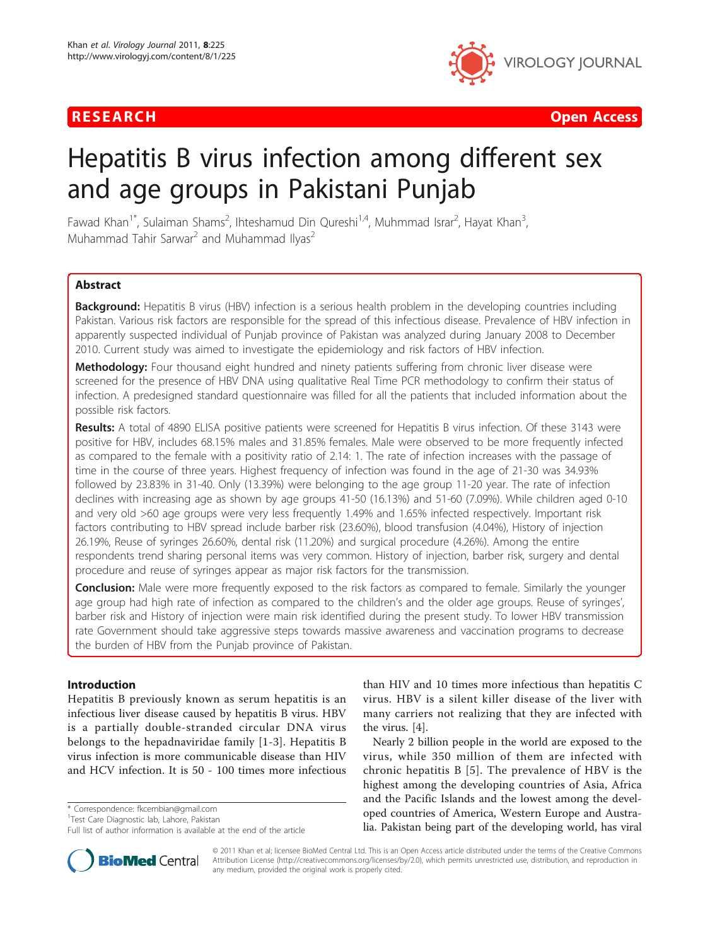

RESEARCH **CONTROL** CONTROL CONTROL CONTROL CONTROL CONTROL CONTROL CONTROL CONTROL CONTROL CONTROL CONTROL CONTROL

# Hepatitis B virus infection among different sex and age groups in Pakistani Punjab

Fawad Khan<sup>1\*</sup>, Sulaiman Shams<sup>2</sup>, Ihteshamud Din Qureshi<sup>1,4</sup>, Muhmmad Israr<sup>2</sup>, Hayat Khan<sup>3</sup> , Muhammad Tahir Sarwar<sup>2</sup> and Muhammad Ilyas<sup>2</sup>

# **Abstract**

Background: Hepatitis B virus (HBV) infection is a serious health problem in the developing countries including Pakistan. Various risk factors are responsible for the spread of this infectious disease. Prevalence of HBV infection in apparently suspected individual of Punjab province of Pakistan was analyzed during January 2008 to December 2010. Current study was aimed to investigate the epidemiology and risk factors of HBV infection.

Methodology: Four thousand eight hundred and ninety patients suffering from chronic liver disease were screened for the presence of HBV DNA using qualitative Real Time PCR methodology to confirm their status of infection. A predesigned standard questionnaire was filled for all the patients that included information about the possible risk factors.

Results: A total of 4890 ELISA positive patients were screened for Hepatitis B virus infection. Of these 3143 were positive for HBV, includes 68.15% males and 31.85% females. Male were observed to be more frequently infected as compared to the female with a positivity ratio of 2.14: 1. The rate of infection increases with the passage of time in the course of three years. Highest frequency of infection was found in the age of 21-30 was 34.93% followed by 23.83% in 31-40. Only (13.39%) were belonging to the age group 11-20 year. The rate of infection declines with increasing age as shown by age groups 41-50 (16.13%) and 51-60 (7.09%). While children aged 0-10 and very old >60 age groups were very less frequently 1.49% and 1.65% infected respectively. Important risk factors contributing to HBV spread include barber risk (23.60%), blood transfusion (4.04%), History of injection 26.19%, Reuse of syringes 26.60%, dental risk (11.20%) and surgical procedure (4.26%). Among the entire respondents trend sharing personal items was very common. History of injection, barber risk, surgery and dental procedure and reuse of syringes appear as major risk factors for the transmission.

**Conclusion:** Male were more frequently exposed to the risk factors as compared to female. Similarly the younger age group had high rate of infection as compared to the children's and the older age groups. Reuse of syringes', barber risk and History of injection were main risk identified during the present study. To lower HBV transmission rate Government should take aggressive steps towards massive awareness and vaccination programs to decrease the burden of HBV from the Punjab province of Pakistan.

# Introduction

Hepatitis B previously known as serum hepatitis is an infectious liver disease caused by hepatitis B virus. HBV is a partially double-stranded circular DNA virus belongs to the hepadnaviridae family [\[1](#page-4-0)-[3](#page-4-0)]. Hepatitis B virus infection is more communicable disease than HIV and HCV infection. It is 50 - 100 times more infectious

<sup>1</sup>Test Care Diagnostic lab, Lahore, Pakistan

than HIV and 10 times more infectious than hepatitis C virus. HBV is a silent killer disease of the liver with many carriers not realizing that they are infected with the virus. [\[4\]](#page-4-0).

Nearly 2 billion people in the world are exposed to the virus, while 350 million of them are infected with chronic hepatitis B [[5](#page-4-0)]. The prevalence of HBV is the highest among the developing countries of Asia, Africa and the Pacific Islands and the lowest among the developed countries of America, Western Europe and Australia. Pakistan being part of the developing world, has viral



© 2011 Khan et al; licensee BioMed Central Ltd. This is an Open Access article distributed under the terms of the Creative Commons Attribution License [\(http://creativecommons.org/licenses/by/2.0](http://creativecommons.org/licenses/by/2.0)), which permits unrestricted use, distribution, and reproduction in any medium, provided the original work is properly cited.

<sup>\*</sup> Correspondence: [fkcembian@gmail.com](mailto:fkcembian@gmail.com)

Full list of author information is available at the end of the article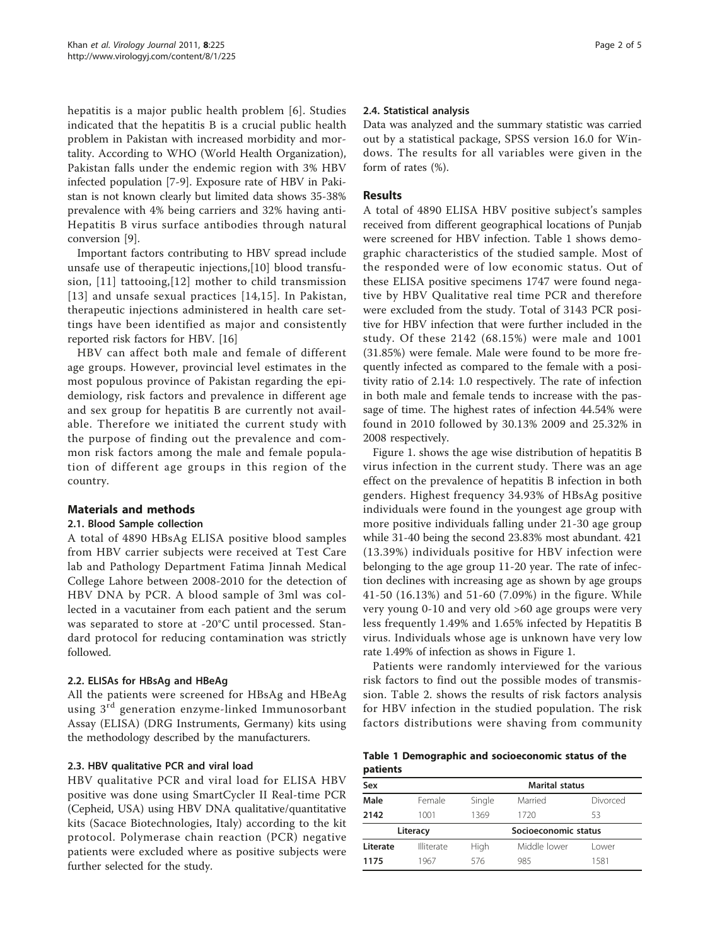<span id="page-1-0"></span>hepatitis is a major public health problem [[6\]](#page-4-0). Studies indicated that the hepatitis B is a crucial public health problem in Pakistan with increased morbidity and mortality. According to WHO (World Health Organization), Pakistan falls under the endemic region with 3% HBV infected population [\[7](#page-4-0)-[9\]](#page-4-0). Exposure rate of HBV in Pakistan is not known clearly but limited data shows 35-38% prevalence with 4% being carriers and 32% having anti-Hepatitis B virus surface antibodies through natural conversion [\[9](#page-4-0)].

Important factors contributing to HBV spread include unsafe use of therapeutic injections,[\[10](#page-4-0)] blood transfusion, [[11](#page-4-0)] tattooing,[\[12\]](#page-4-0) mother to child transmission [[13\]](#page-4-0) and unsafe sexual practices [[14](#page-4-0),[15](#page-4-0)]. In Pakistan, therapeutic injections administered in health care settings have been identified as major and consistently reported risk factors for HBV. [[16](#page-4-0)]

HBV can affect both male and female of different age groups. However, provincial level estimates in the most populous province of Pakistan regarding the epidemiology, risk factors and prevalence in different age and sex group for hepatitis B are currently not available. Therefore we initiated the current study with the purpose of finding out the prevalence and common risk factors among the male and female population of different age groups in this region of the country.

# Materials and methods

# 2.1. Blood Sample collection

A total of 4890 HBsAg ELISA positive blood samples from HBV carrier subjects were received at Test Care lab and Pathology Department Fatima Jinnah Medical College Lahore between 2008-2010 for the detection of HBV DNA by PCR. A blood sample of 3ml was collected in a vacutainer from each patient and the serum was separated to store at -20°C until processed. Standard protocol for reducing contamination was strictly followed.

# 2.2. ELISAs for HBsAg and HBeAg

All the patients were screened for HBsAg and HBeAg using 3<sup>rd</sup> generation enzyme-linked Immunosorbant Assay (ELISA) (DRG Instruments, Germany) kits using the methodology described by the manufacturers.

# 2.3. HBV qualitative PCR and viral load

HBV qualitative PCR and viral load for ELISA HBV positive was done using SmartCycler II Real-time PCR (Cepheid, USA) using HBV DNA qualitative/quantitative kits (Sacace Biotechnologies, Italy) according to the kit protocol. Polymerase chain reaction (PCR) negative patients were excluded where as positive subjects were further selected for the study.

# 2.4. Statistical analysis

Data was analyzed and the summary statistic was carried out by a statistical package, SPSS version 16.0 for Windows. The results for all variables were given in the form of rates (%).

# Results

A total of 4890 ELISA HBV positive subject's samples received from different geographical locations of Punjab were screened for HBV infection. Table 1 shows demographic characteristics of the studied sample. Most of the responded were of low economic status. Out of these ELISA positive specimens 1747 were found negative by HBV Qualitative real time PCR and therefore were excluded from the study. Total of 3143 PCR positive for HBV infection that were further included in the study. Of these 2142 (68.15%) were male and 1001 (31.85%) were female. Male were found to be more frequently infected as compared to the female with a positivity ratio of 2.14: 1.0 respectively. The rate of infection in both male and female tends to increase with the passage of time. The highest rates of infection 44.54% were found in 2010 followed by 30.13% 2009 and 25.32% in 2008 respectively.

Figure [1.](#page-2-0) shows the age wise distribution of hepatitis B virus infection in the current study. There was an age effect on the prevalence of hepatitis B infection in both genders. Highest frequency 34.93% of HBsAg positive individuals were found in the youngest age group with more positive individuals falling under 21-30 age group while 31-40 being the second 23.83% most abundant. 421 (13.39%) individuals positive for HBV infection were belonging to the age group 11-20 year. The rate of infection declines with increasing age as shown by age groups 41-50 (16.13%) and 51-60 (7.09%) in the figure. While very young 0-10 and very old >60 age groups were very less frequently 1.49% and 1.65% infected by Hepatitis B virus. Individuals whose age is unknown have very low rate 1.49% of infection as shows in Figure [1.](#page-2-0)

Patients were randomly interviewed for the various risk factors to find out the possible modes of transmission. Table [2](#page-2-0). shows the results of risk factors analysis for HBV infection in the studied population. The risk factors distributions were shaving from community

|          |  | Table 1 Demographic and socioeconomic status of the |  |  |
|----------|--|-----------------------------------------------------|--|--|
| patients |  |                                                     |  |  |

| Sex      |            | <b>Marital status</b> |              |          |  |
|----------|------------|-----------------------|--------------|----------|--|
| Male     | Female     | Single                | Married      | Divorced |  |
| 2142     | 1001       | 1369                  | 1720         | 53       |  |
|          | Literacy   | Socioeconomic status  |              |          |  |
| Literate | Illiterate | High                  | Middle lower | l ower   |  |
| 1175     | 1967       | 576                   | 985          | 1581     |  |
|          |            |                       |              |          |  |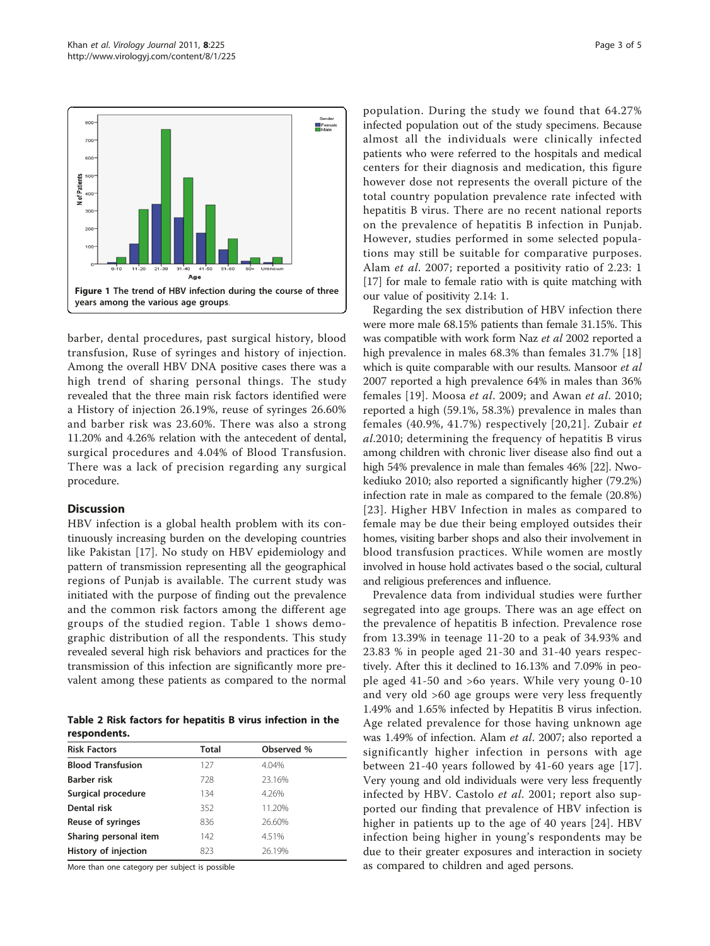<span id="page-2-0"></span>

barber, dental procedures, past surgical history, blood transfusion, Ruse of syringes and history of injection. Among the overall HBV DNA positive cases there was a high trend of sharing personal things. The study revealed that the three main risk factors identified were a History of injection 26.19%, reuse of syringes 26.60% and barber risk was 23.60%. There was also a strong 11.20% and 4.26% relation with the antecedent of dental, surgical procedures and 4.04% of Blood Transfusion. There was a lack of precision regarding any surgical procedure.

#### **Discussion**

HBV infection is a global health problem with its continuously increasing burden on the developing countries like Pakistan [[17\]](#page-4-0). No study on HBV epidemiology and pattern of transmission representing all the geographical regions of Punjab is available. The current study was initiated with the purpose of finding out the prevalence and the common risk factors among the different age groups of the studied region. Table [1](#page-1-0) shows demographic distribution of all the respondents. This study revealed several high risk behaviors and practices for the transmission of this infection are significantly more prevalent among these patients as compared to the normal

Table 2 Risk factors for hepatitis B virus infection in the respondents.

| <b>Risk Factors</b>      | <b>Total</b> | Observed % |
|--------------------------|--------------|------------|
| <b>Blood Transfusion</b> | 127          | 4.04%      |
| <b>Barber risk</b>       | 728          | 23.16%     |
| Surgical procedure       | 134          | 4.26%      |
| Dental risk              | 352          | 11.20%     |
| Reuse of syringes        | 836          | 26.60%     |
| Sharing personal item    | 142          | 4.51%      |
| History of injection     | 823          | 26.19%     |

More than one category per subject is possible

population. During the study we found that 64.27% infected population out of the study specimens. Because almost all the individuals were clinically infected patients who were referred to the hospitals and medical centers for their diagnosis and medication, this figure however dose not represents the overall picture of the total country population prevalence rate infected with hepatitis B virus. There are no recent national reports on the prevalence of hepatitis B infection in Punjab. However, studies performed in some selected populations may still be suitable for comparative purposes. Alam et al. 2007; reported a positivity ratio of 2.23: 1 [[17\]](#page-4-0) for male to female ratio with is quite matching with our value of positivity 2.14: 1.

Regarding the sex distribution of HBV infection there were more male 68.15% patients than female 31.15%. This was compatible with work form Naz et al 2002 reported a high prevalence in males 68.3% than females 31.7% [\[18](#page-4-0)] which is quite comparable with our results. Mansoor et al 2007 reported a high prevalence 64% in males than 36% females [\[19\]](#page-4-0). Moosa et al. 2009; and Awan et al. 2010; reported a high (59.1%, 58.3%) prevalence in males than females (40.9%, 41.7%) respectively [[20](#page-4-0),[21](#page-4-0)]. Zubair et al.2010; determining the frequency of hepatitis B virus among children with chronic liver disease also find out a high 54% prevalence in male than females 46% [\[22\]](#page-4-0). Nwokediuko 2010; also reported a significantly higher (79.2%) infection rate in male as compared to the female (20.8%) [[23\]](#page-4-0). Higher HBV Infection in males as compared to female may be due their being employed outsides their homes, visiting barber shops and also their involvement in blood transfusion practices. While women are mostly involved in house hold activates based o the social, cultural and religious preferences and influence.

Prevalence data from individual studies were further segregated into age groups. There was an age effect on the prevalence of hepatitis B infection. Prevalence rose from 13.39% in teenage 11-20 to a peak of 34.93% and 23.83 % in people aged 21-30 and 31-40 years respectively. After this it declined to 16.13% and 7.09% in people aged 41-50 and >6o years. While very young 0-10 and very old >60 age groups were very less frequently 1.49% and 1.65% infected by Hepatitis B virus infection. Age related prevalence for those having unknown age was 1.49% of infection. Alam et al. 2007; also reported a significantly higher infection in persons with age between 21-40 years followed by 41-60 years age [[17](#page-4-0)]. Very young and old individuals were very less frequently infected by HBV. Castolo et al. 2001; report also supported our finding that prevalence of HBV infection is higher in patients up to the age of 40 years [[24](#page-4-0)]. HBV infection being higher in young's respondents may be due to their greater exposures and interaction in society as compared to children and aged persons.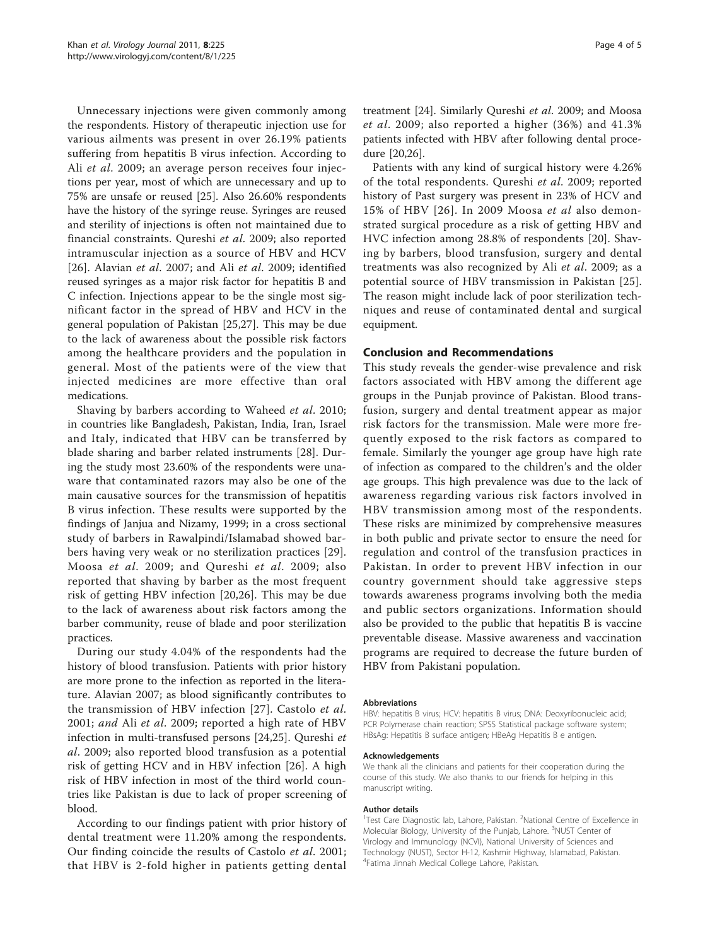Unnecessary injections were given commonly among the respondents. History of therapeutic injection use for various ailments was present in over 26.19% patients suffering from hepatitis B virus infection. According to Ali et al. 2009; an average person receives four injections per year, most of which are unnecessary and up to 75% are unsafe or reused [[25\]](#page-4-0). Also 26.60% respondents have the history of the syringe reuse. Syringes are reused and sterility of injections is often not maintained due to financial constraints. Qureshi et al. 2009; also reported intramuscular injection as a source of HBV and HCV [[26](#page-4-0)]. Alavian et al. 2007; and Ali et al. 2009; identified reused syringes as a major risk factor for hepatitis B and C infection. Injections appear to be the single most significant factor in the spread of HBV and HCV in the general population of Pakistan [[25,27\]](#page-4-0). This may be due to the lack of awareness about the possible risk factors among the healthcare providers and the population in general. Most of the patients were of the view that injected medicines are more effective than oral medications.

Shaving by barbers according to Waheed et al. 2010; in countries like Bangladesh, Pakistan, India, Iran, Israel and Italy, indicated that HBV can be transferred by blade sharing and barber related instruments [[28\]](#page-4-0). During the study most 23.60% of the respondents were unaware that contaminated razors may also be one of the main causative sources for the transmission of hepatitis B virus infection. These results were supported by the findings of Janjua and Nizamy, 1999; in a cross sectional study of barbers in Rawalpindi/Islamabad showed barbers having very weak or no sterilization practices [[29](#page-4-0)]. Moosa et al. 2009; and Qureshi et al. 2009; also reported that shaving by barber as the most frequent risk of getting HBV infection [[20,26](#page-4-0)]. This may be due to the lack of awareness about risk factors among the barber community, reuse of blade and poor sterilization practices.

During our study 4.04% of the respondents had the history of blood transfusion. Patients with prior history are more prone to the infection as reported in the literature. Alavian 2007; as blood significantly contributes to the transmission of HBV infection [[27](#page-4-0)]. Castolo et al. 2001; and Ali et al. 2009; reported a high rate of HBV infection in multi-transfused persons [[24](#page-4-0),[25](#page-4-0)]. Qureshi et al. 2009; also reported blood transfusion as a potential risk of getting HCV and in HBV infection [[26\]](#page-4-0). A high risk of HBV infection in most of the third world countries like Pakistan is due to lack of proper screening of blood.

According to our findings patient with prior history of dental treatment were 11.20% among the respondents. Our finding coincide the results of Castolo et al. 2001; that HBV is 2-fold higher in patients getting dental treatment [[24\]](#page-4-0). Similarly Qureshi et al. 2009; and Moosa et al. 2009; also reported a higher (36%) and 41.3% patients infected with HBV after following dental procedure [[20](#page-4-0),[26](#page-4-0)].

Patients with any kind of surgical history were 4.26% of the total respondents. Qureshi et al. 2009; reported history of Past surgery was present in 23% of HCV and 15% of HBV [[26\]](#page-4-0). In 2009 Moosa et al also demonstrated surgical procedure as a risk of getting HBV and HVC infection among 28.8% of respondents [[20\]](#page-4-0). Shaving by barbers, blood transfusion, surgery and dental treatments was also recognized by Ali et al. 2009; as a potential source of HBV transmission in Pakistan [[25](#page-4-0)]. The reason might include lack of poor sterilization techniques and reuse of contaminated dental and surgical equipment.

#### Conclusion and Recommendations

This study reveals the gender-wise prevalence and risk factors associated with HBV among the different age groups in the Punjab province of Pakistan. Blood transfusion, surgery and dental treatment appear as major risk factors for the transmission. Male were more frequently exposed to the risk factors as compared to female. Similarly the younger age group have high rate of infection as compared to the children's and the older age groups. This high prevalence was due to the lack of awareness regarding various risk factors involved in HBV transmission among most of the respondents. These risks are minimized by comprehensive measures in both public and private sector to ensure the need for regulation and control of the transfusion practices in Pakistan. In order to prevent HBV infection in our country government should take aggressive steps towards awareness programs involving both the media and public sectors organizations. Information should also be provided to the public that hepatitis B is vaccine preventable disease. Massive awareness and vaccination programs are required to decrease the future burden of HBV from Pakistani population.

#### Abbreviations

HBV: hepatitis B virus; HCV: hepatitis B virus; DNA: Deoxyribonucleic acid; PCR Polymerase chain reaction; SPSS Statistical package software system; HBsAg: Hepatitis B surface antigen; HBeAg Hepatitis B e antigen.

#### Acknowledgements

We thank all the clinicians and patients for their cooperation during the course of this study. We also thanks to our friends for helping in this manuscript writing.

#### Author details

<sup>1</sup>Test Care Diagnostic lab, Lahore, Pakistan. <sup>2</sup>National Centre of Excellence in Molecular Biology, University of the Punjab, Lahore. <sup>3</sup>NUST Center of Virology and Immunology (NCVI), National University of Sciences and Technology (NUST), Sector H-12, Kashmir Highway, Islamabad, Pakistan. 4 Fatima Jinnah Medical College Lahore, Pakistan.